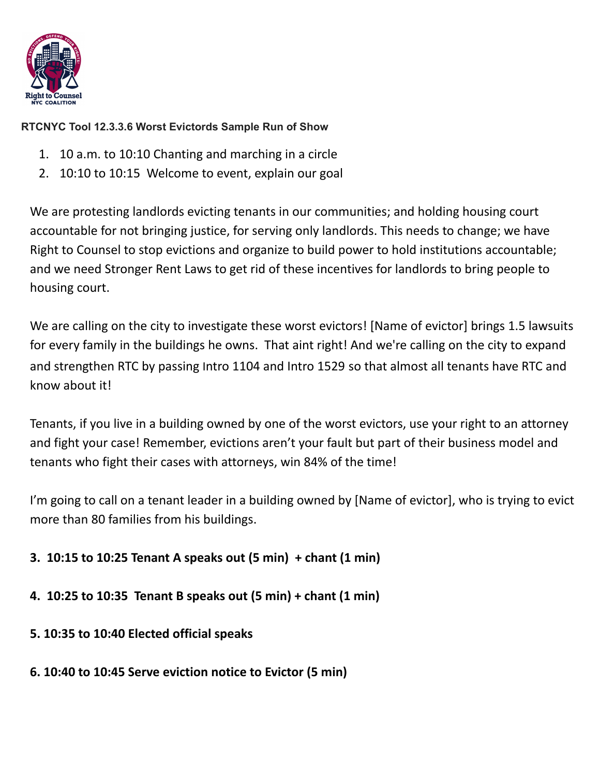

## **RTCNYC Tool 12.3.3.6 Worst Evictords Sample Run of Show**

- 1. 10 a.m. to 10:10 Chanting and marching in a circle
- 2. 10:10 to 10:15 Welcome to event, explain our goal

We are protesting landlords evicting tenants in our communities; and holding housing court accountable for not bringing justice, for serving only landlords. This needs to change; we have Right to Counsel to stop evictions and organize to build power to hold institutions accountable; and we need Stronger Rent Laws to get rid of these incentives for landlords to bring people to housing court.

We are calling on the city to investigate these worst evictors! [Name of evictor] brings 1.5 lawsuits for every family in the buildings he owns. That aint right! And we're calling on the city to expand and strengthen RTC by passing Intro 1104 and Intro 1529 so that almost all tenants have RTC and know about it!

Tenants, if you live in a building owned by one of the worst evictors, use your right to an attorney and fight your case! Remember, evictions aren't your fault but part of their business model and tenants who fight their cases with attorneys, win 84% of the time!

I'm going to call on a tenant leader in a building owned by [Name of evictor], who is trying to evict more than 80 families from his buildings.

# **3. 10:15 to 10:25 Tenant A speaks out (5 min) + chant (1 min)**

- **4. 10:25 to 10:35 Tenant B speaks out (5 min) + chant (1 min)**
- **5. 10:35 to 10:40 Elected official speaks**
- **6. 10:40 to 10:45 Serve eviction notice to Evictor (5 min)**